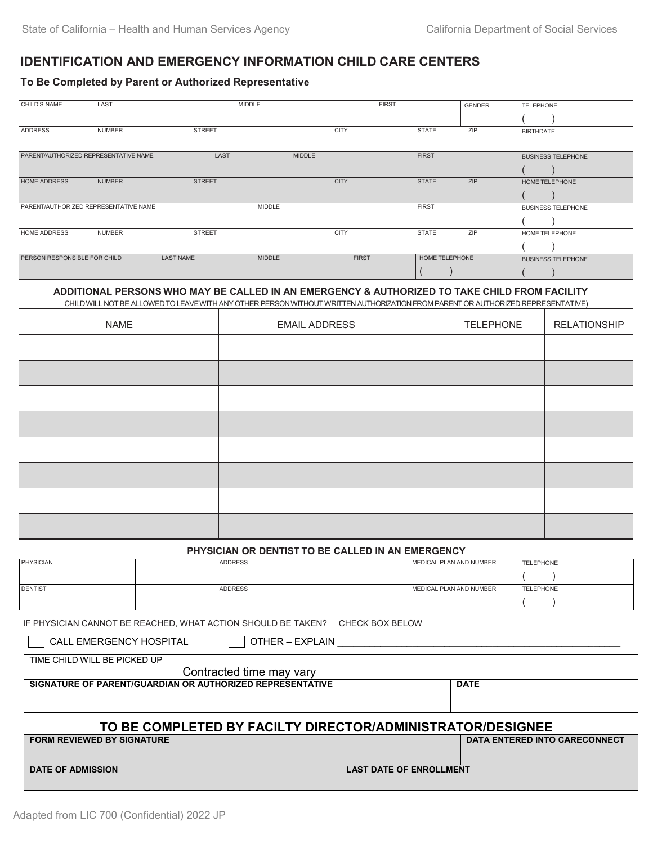### **IDENTIFICATION AND EMERGENCY INFORMATION CHILD CARE CENTERS**

#### **To Be Completed by Parent or Authorized Representative**

| CHILD'S NAME                          | LAST          | <b>MIDDLE</b>    |               |              | <b>FIRST</b>   | <b>GENDER</b> | <b>TELEPHONE</b>          |
|---------------------------------------|---------------|------------------|---------------|--------------|----------------|---------------|---------------------------|
|                                       |               |                  |               |              |                |               |                           |
| ADDRESS                               | <b>NUMBER</b> | <b>STREET</b>    |               | <b>CITY</b>  | <b>STATE</b>   | ZIP           | <b>BIRTHDATE</b>          |
|                                       |               |                  |               |              |                |               |                           |
| PARENT/AUTHORIZED REPRESENTATIVE NAME |               | LAST             | <b>MIDDLE</b> |              | <b>FIRST</b>   |               | <b>BUSINESS TELEPHONE</b> |
|                                       |               |                  |               |              |                |               |                           |
| <b>HOME ADDRESS</b>                   | <b>NUMBER</b> | <b>STREET</b>    |               | <b>CITY</b>  | <b>STATE</b>   | ZIP           | <b>HOME TELEPHONE</b>     |
|                                       |               |                  |               |              |                |               |                           |
| PARENT/AUTHORIZED REPRESENTATIVE NAME |               |                  | <b>MIDDLE</b> |              | <b>FIRST</b>   |               | <b>BUSINESS TELEPHONE</b> |
|                                       |               |                  |               |              |                |               |                           |
| <b>HOME ADDRESS</b>                   | <b>NUMBER</b> | <b>STREET</b>    |               | <b>CITY</b>  | <b>STATE</b>   | ZIP           | <b>HOME TELEPHONE</b>     |
|                                       |               |                  |               |              |                |               |                           |
| PERSON RESPONSIBLE FOR CHILD          |               | <b>LAST NAME</b> | <b>MIDDLE</b> | <b>FIRST</b> | HOME TELEPHONE |               | <b>BUSINESS TELEPHONE</b> |
|                                       |               |                  |               |              |                |               |                           |

### **ADDITIONAL PERSONS WHO MAY BE CALLED IN AN EMERGENCY & AUTHORIZED TO TAKE CHILD FROM FACILITY**

CHILDWILL NOTBE ALLOWEDTOLEAVEWITH ANYOTHER PERSONWITHOUTWRITTEN AUTHORIZATIONFROMPARENT OR AUTHORIZED REPRESENTATIVE)

| <b>NAME</b> | <b>EMAIL ADDRESS</b> | <b>TELEPHONE</b> | <b>RELATIONSHIP</b> |
|-------------|----------------------|------------------|---------------------|
|             |                      |                  |                     |
|             |                      |                  |                     |
|             |                      |                  |                     |
|             |                      |                  |                     |
|             |                      |                  |                     |
|             |                      |                  |                     |
|             |                      |                  |                     |
|             |                      |                  |                     |

#### **PHYSICIAN OR DENTIST TO BE CALLED IN AN EMERGENCY**

| <b>PHYSICIAN</b> | <b>ADDRESS</b> | MEDICAL PLAN AND NUMBER | <b>TELEPHONE</b> |
|------------------|----------------|-------------------------|------------------|
|                  |                |                         |                  |
| <b>DENTIST</b>   | <b>ADDRESS</b> | MEDICAL PLAN AND NUMBER | <b>TELEPHONE</b> |
|                  |                |                         |                  |

IF PHYSICIAN CANNOT BE REACHED, WHAT ACTION SHOULD BE TAKEN? CHECK BOX BELOW

CALL EMERGENCY HOSPITAL  $\Box$  OTHER – EXPLAIN

TIME CHILD WILL BE PICKED UP

| Contracted time may vary                                   |                                      |  |  |  |
|------------------------------------------------------------|--------------------------------------|--|--|--|
| SIGNATURE OF PARENT/GUARDIAN OR AUTHORIZED REPRESENTATIVE  | <b>DATE</b>                          |  |  |  |
|                                                            |                                      |  |  |  |
|                                                            |                                      |  |  |  |
| TO BE COMPLETED BY FACILTY DIRECTOR/ADMINISTRATOR/DESIGNEE |                                      |  |  |  |
| <b>FORM REVIEWED BY SIGNATURE</b>                          | <b>DATA ENTERED INTO CARECONNECT</b> |  |  |  |

| <b>DATE OF ADMISSION</b> | <b>LAST DATE OF ENROLLMENT</b> |  |
|--------------------------|--------------------------------|--|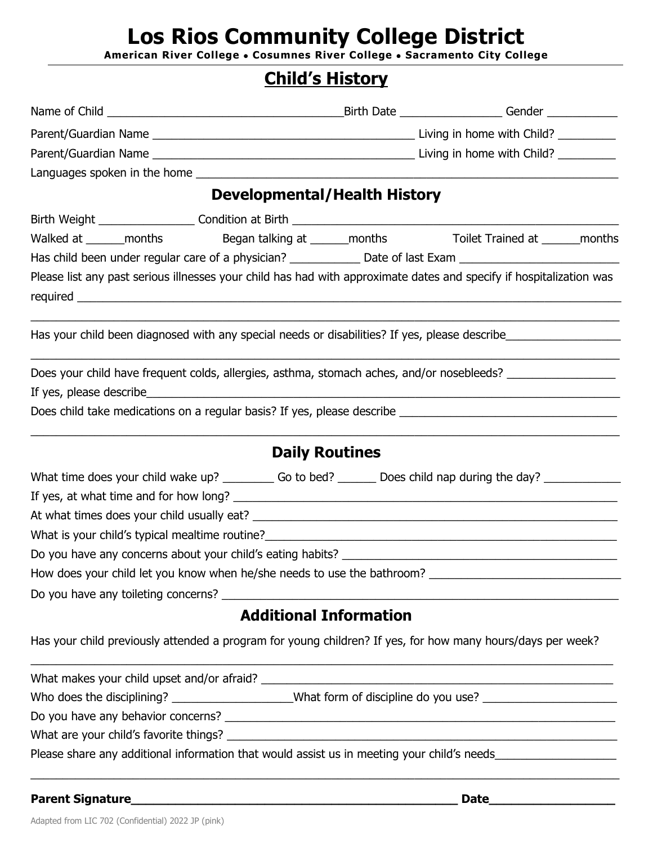# **Los Rios Community College District**

**American River College** • **Cosumnes River College** • **Sacramento City College**

## **Child's History**

|                                                                                                                     | <b>Developmental/Health History</b> |  |  |
|---------------------------------------------------------------------------------------------------------------------|-------------------------------------|--|--|
|                                                                                                                     |                                     |  |  |
| Walked at ______months began talking at ______months Toilet Trained at ______months                                 |                                     |  |  |
| Has child been under regular care of a physician? _______________ Date of last Exam __________________________      |                                     |  |  |
| Please list any past serious illnesses your child has had with approximate dates and specify if hospitalization was |                                     |  |  |
| Has your child been diagnosed with any special needs or disabilities? If yes, please describe                       |                                     |  |  |
| Does your child have frequent colds, allergies, asthma, stomach aches, and/or nosebleeds?                           |                                     |  |  |
|                                                                                                                     |                                     |  |  |
|                                                                                                                     |                                     |  |  |
|                                                                                                                     | <b>Daily Routines</b>               |  |  |
| What time does your child wake up? ___________ Go to bed? ________ Does child nap during the day? ____________      |                                     |  |  |
|                                                                                                                     |                                     |  |  |
|                                                                                                                     |                                     |  |  |
| What is your child's typical mealtime routine?<br><u> What is your child's typical mealtime routine?</u>            |                                     |  |  |
|                                                                                                                     |                                     |  |  |
|                                                                                                                     |                                     |  |  |
|                                                                                                                     |                                     |  |  |
|                                                                                                                     | <b>Additional Information</b>       |  |  |
| Has your child previously attended a program for young children? If yes, for how many hours/days per week?          |                                     |  |  |
|                                                                                                                     |                                     |  |  |
| Who does the disciplining? ____________________What form of discipline do you use? ___________________________      |                                     |  |  |
|                                                                                                                     |                                     |  |  |
|                                                                                                                     |                                     |  |  |
| Please share any additional information that would assist us in meeting your child's needs___________________       |                                     |  |  |

\_\_\_\_\_\_\_\_\_\_\_\_\_\_\_\_\_\_\_\_\_\_\_\_\_\_\_\_\_\_\_\_\_\_\_\_\_\_\_\_\_\_\_\_\_\_\_\_\_\_\_\_\_\_\_\_\_\_\_\_\_\_\_\_\_\_\_\_\_\_\_\_\_\_\_\_\_\_\_\_\_\_\_\_\_\_\_\_\_\_\_\_

**Parent Signature\_\_\_\_\_\_\_\_\_\_\_\_\_\_\_\_\_\_\_\_\_\_\_\_\_\_\_\_\_\_\_\_\_\_\_\_\_\_\_\_\_\_\_\_ Date\_\_\_\_\_\_\_\_\_\_\_\_\_\_\_\_\_**